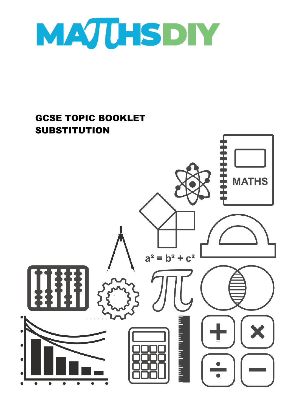

## GCSE TOPIC BOOKLET **SUBSTITUTION MATHS**  $a^2 = b^2 + c^2$ a katalunian pada sa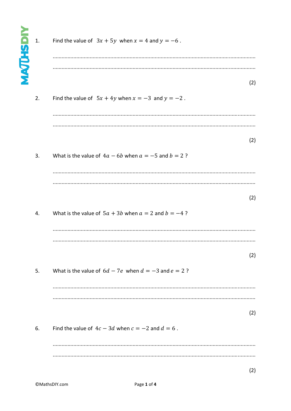| <b>MAJUHSDIY</b> | 1. | Find the value of $3x + 5y$ when $x = 4$ and $y = -6$ .    |     |
|------------------|----|------------------------------------------------------------|-----|
|                  | 2. | Find the value of $5x + 4y$ when $x = -3$ and $y = -2$ .   | (2) |
|                  | 3. | What is the value of $4a - 6b$ when $a = -5$ and $b = 2$ ? | (2) |
|                  | 4. | What is the value of $5a + 3b$ when $a = 2$ and $b = -4$ ? | (2) |
|                  |    |                                                            | (2) |
|                  | 5. | What is the value of $6d - 7e$ when $d = -3$ and $e = 2$ ? |     |
|                  | 6. | Find the value of $4c - 3d$ when $c = -2$ and $d = 6$ .    | (2) |
|                  |    |                                                            |     |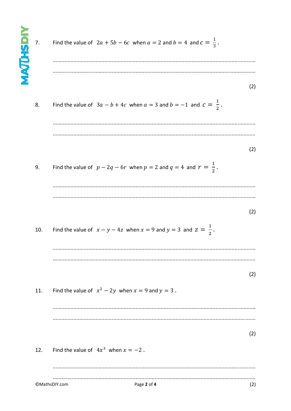| <b>MAJUHSDIY</b> | 7.  | Find the value of $2a + 5b - 6c$ when $a = 2$ and $b = 4$ and $c = \frac{1}{3}$ . |     |
|------------------|-----|-----------------------------------------------------------------------------------|-----|
|                  | 8.  | Find the value of $3a - b + 4c$ when $a = 3$ and $b = -1$ and $c = \frac{1}{2}$ . | (2) |
|                  | 9.  | Find the value of $p - 2q - 6r$ when $p = 2$ and $q = 4$ and $r = \frac{1}{2}$ .  | (2) |
|                  | 10. | Find the value of $x - y - 4z$ when $x = 9$ and $y = 3$ and $z = \frac{1}{2}$ .   | (2) |
|                  | 11. | Find the value of $x^2 - 2y$ when $x = 9$ and $y = 3$ .                           | (2) |
|                  | 12. | Find the value of $4x^3$ when $x = -2$ .                                          | (2) |
|                  |     | ©MathsDIY.com<br>Page 2 of 4                                                      | (2) |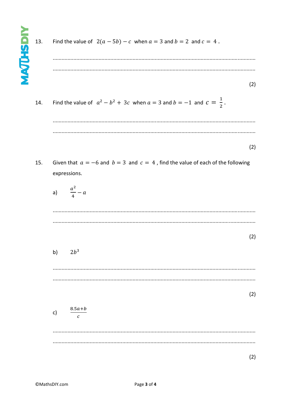Find the value of  $2(a - 5b) - c$  when  $a = 3$  and  $b = 2$  and  $c = 4$ . 13.

- $(2)$
- Find the value of  $a^2-b^2+3c$  when  $a=3$  and  $b=-1$  and  $c=\frac{1}{2}$ . 14.

 $(2)$ 

- Given that  $a = -6$  and  $b = 3$  and  $c = 4$ , find the value of each of the following 15. expressions.
	- $\frac{a^2}{4}-a$  $a)$

 $(2)$ 

 $2b^3$  $b)$ 

 $(2)$ 

 $\frac{8.5a+b}{c}$  $c)$